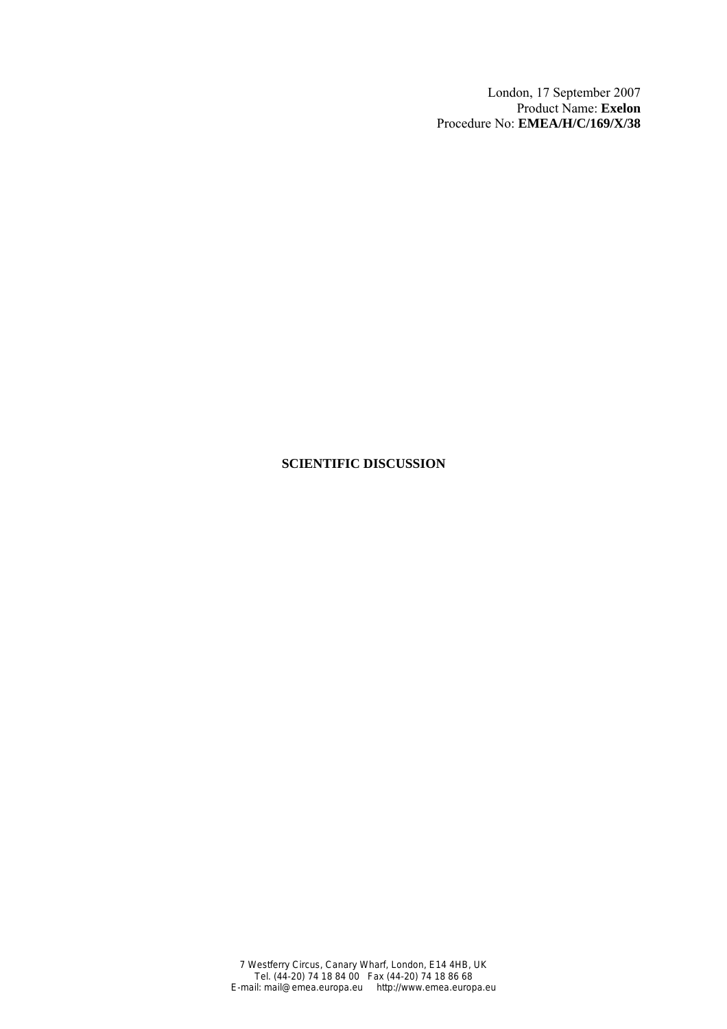London, 17 September 2007 Product Name: **Exelon** Procedure No: **EMEA/H/C/169/X/38**

# **SCIENTIFIC DISCUSSION**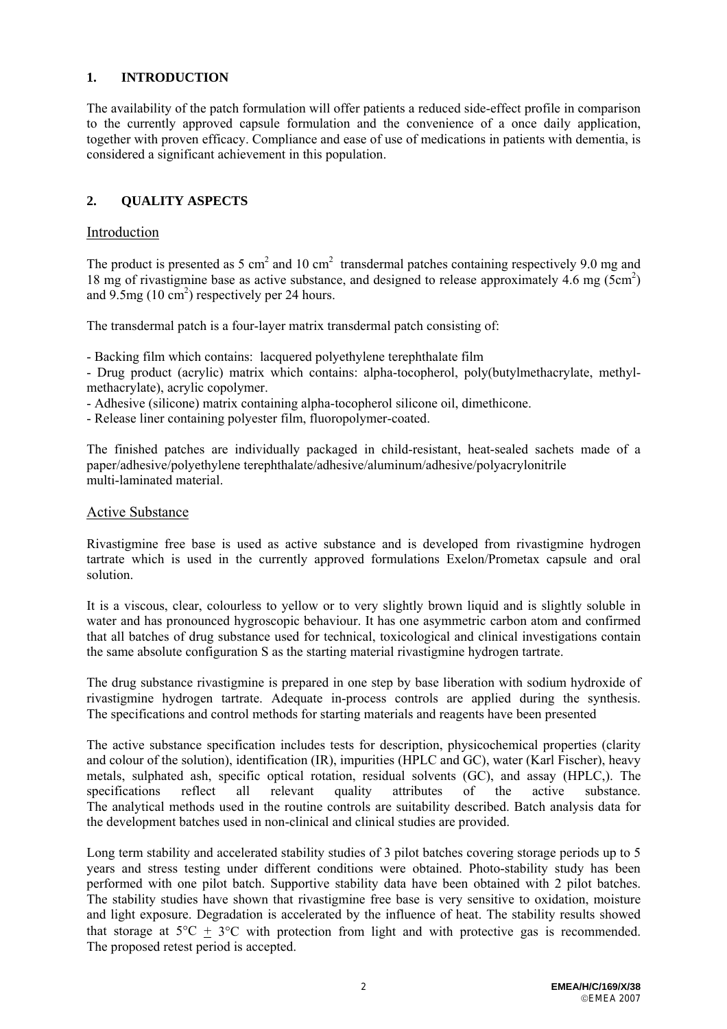# **1. INTRODUCTION**

The availability of the patch formulation will offer patients a reduced side-effect profile in comparison to the currently approved capsule formulation and the convenience of a once daily application, together with proven efficacy. Compliance and ease of use of medications in patients with dementia, is considered a significant achievement in this population.

# **2. QUALITY ASPECTS**

### Introduction

The product is presented as 5 cm<sup>2</sup> and 10 cm<sup>2</sup> transdermal patches containing respectively 9.0 mg and 18 mg of rivastigmine base as active substance, and designed to release approximately 4.6 mg (5cm2 ) and  $9.5mg(10 \text{ cm}^2)$  respectively per 24 hours.

The transdermal patch is a four-layer matrix transdermal patch consisting of:

- Backing film which contains: lacquered polyethylene terephthalate film

- Drug product (acrylic) matrix which contains: alpha-tocopherol, poly(butylmethacrylate, methylmethacrylate), acrylic copolymer.

- Adhesive (silicone) matrix containing alpha-tocopherol silicone oil, dimethicone.

- Release liner containing polyester film, fluoropolymer-coated.

The finished patches are individually packaged in child-resistant, heat-sealed sachets made of a paper/adhesive/polyethylene terephthalate/adhesive/aluminum/adhesive/polyacrylonitrile multi-laminated material.

#### Active Substance

Rivastigmine free base is used as active substance and is developed from rivastigmine hydrogen tartrate which is used in the currently approved formulations Exelon/Prometax capsule and oral solution.

It is a viscous, clear, colourless to yellow or to very slightly brown liquid and is slightly soluble in water and has pronounced hygroscopic behaviour. It has one asymmetric carbon atom and confirmed that all batches of drug substance used for technical, toxicological and clinical investigations contain the same absolute configuration S as the starting material rivastigmine hydrogen tartrate.

The drug substance rivastigmine is prepared in one step by base liberation with sodium hydroxide of rivastigmine hydrogen tartrate. Adequate in-process controls are applied during the synthesis. The specifications and control methods for starting materials and reagents have been presented

The active substance specification includes tests for description, physicochemical properties (clarity and colour of the solution), identification (IR), impurities (HPLC and GC), water (Karl Fischer), heavy metals, sulphated ash, specific optical rotation, residual solvents (GC), and assay (HPLC,). The specifications reflect all relevant quality attributes of the active substance. The analytical methods used in the routine controls are suitability described. Batch analysis data for the development batches used in non-clinical and clinical studies are provided.

Long term stability and accelerated stability studies of 3 pilot batches covering storage periods up to 5 years and stress testing under different conditions were obtained. Photo-stability study has been performed with one pilot batch. Supportive stability data have been obtained with 2 pilot batches. The stability studies have shown that rivastigmine free base is very sensitive to oxidation, moisture and light exposure. Degradation is accelerated by the influence of heat. The stability results showed that storage at  $5^{\circ}C + 3^{\circ}C$  with protection from light and with protective gas is recommended. The proposed retest period is accepted.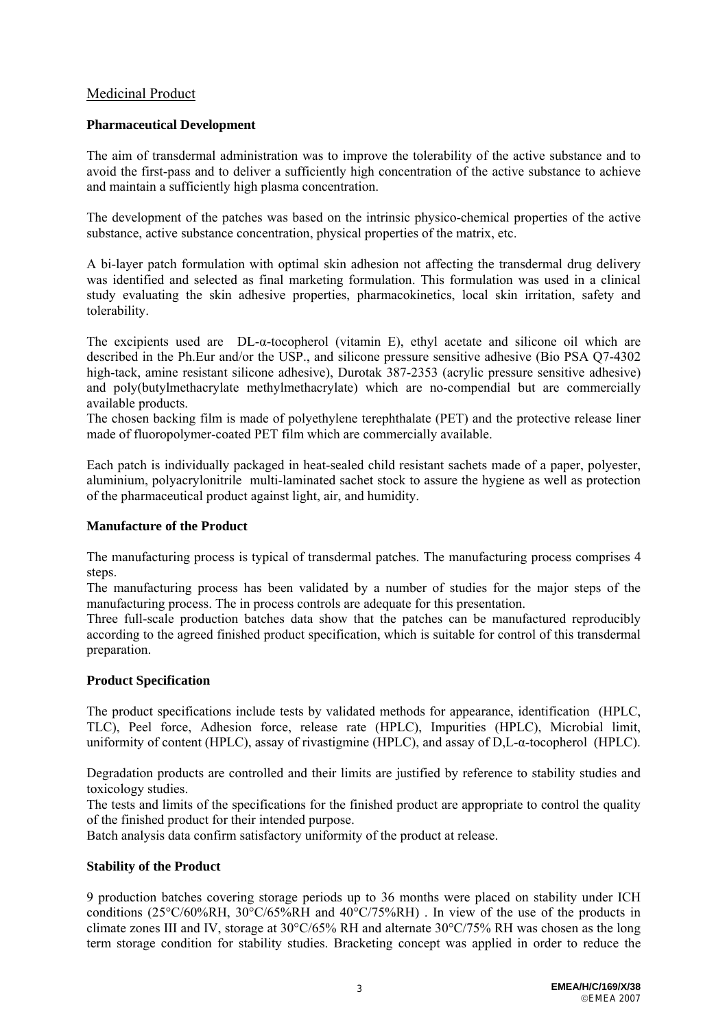# Medicinal Product

### **Pharmaceutical Development**

The aim of transdermal administration was to improve the tolerability of the active substance and to avoid the first-pass and to deliver a sufficiently high concentration of the active substance to achieve and maintain a sufficiently high plasma concentration.

The development of the patches was based on the intrinsic physico-chemical properties of the active substance, active substance concentration, physical properties of the matrix, etc.

A bi-layer patch formulation with optimal skin adhesion not affecting the transdermal drug delivery was identified and selected as final marketing formulation. This formulation was used in a clinical study evaluating the skin adhesive properties, pharmacokinetics, local skin irritation, safety and tolerability.

The excipients used are DL-α-tocopherol (vitamin E), ethyl acetate and silicone oil which are described in the Ph.Eur and/or the USP<sub>ra</sub> and silicone pressure sensitive adhesive (Bio PSA O7-4302 high-tack, amine resistant silicone adhesive), Durotak 387-2353 (acrylic pressure sensitive adhesive) and poly(butylmethacrylate methylmethacrylate) which are no-compendial but are commercially available products.

The chosen backing film is made of polyethylene terephthalate (PET) and the protective release liner made of fluoropolymer-coated PET film which are commercially available.

Each patch is individually packaged in heat-sealed child resistant sachets made of a paper, polyester, aluminium, polyacrylonitrile multi-laminated sachet stock to assure the hygiene as well as protection of the pharmaceutical product against light, air, and humidity.

#### **Manufacture of the Product**

The manufacturing process is typical of transdermal patches. The manufacturing process comprises 4 steps.

The manufacturing process has been validated by a number of studies for the major steps of the manufacturing process. The in process controls are adequate for this presentation.

Three full-scale production batches data show that the patches can be manufactured reproducibly according to the agreed finished product specification, which is suitable for control of this transdermal preparation.

#### **Product Specification**

The product specifications include tests by validated methods for appearance, identification (HPLC, TLC), Peel force, Adhesion force, release rate (HPLC), Impurities (HPLC), Microbial limit, uniformity of content (HPLC), assay of rivastigmine (HPLC), and assay of D,L-α-tocopherol (HPLC).

Degradation products are controlled and their limits are justified by reference to stability studies and toxicology studies.

The tests and limits of the specifications for the finished product are appropriate to control the quality of the finished product for their intended purpose.

Batch analysis data confirm satisfactory uniformity of the product at release.

#### **Stability of the Product**

9 production batches covering storage periods up to 36 months were placed on stability under ICH conditions (25°C/60%RH, 30°C/65%RH and 40°C/75%RH). In view of the use of the products in climate zones III and IV, storage at 30°C/65% RH and alternate 30°C/75% RH was chosen as the long term storage condition for stability studies. Bracketing concept was applied in order to reduce the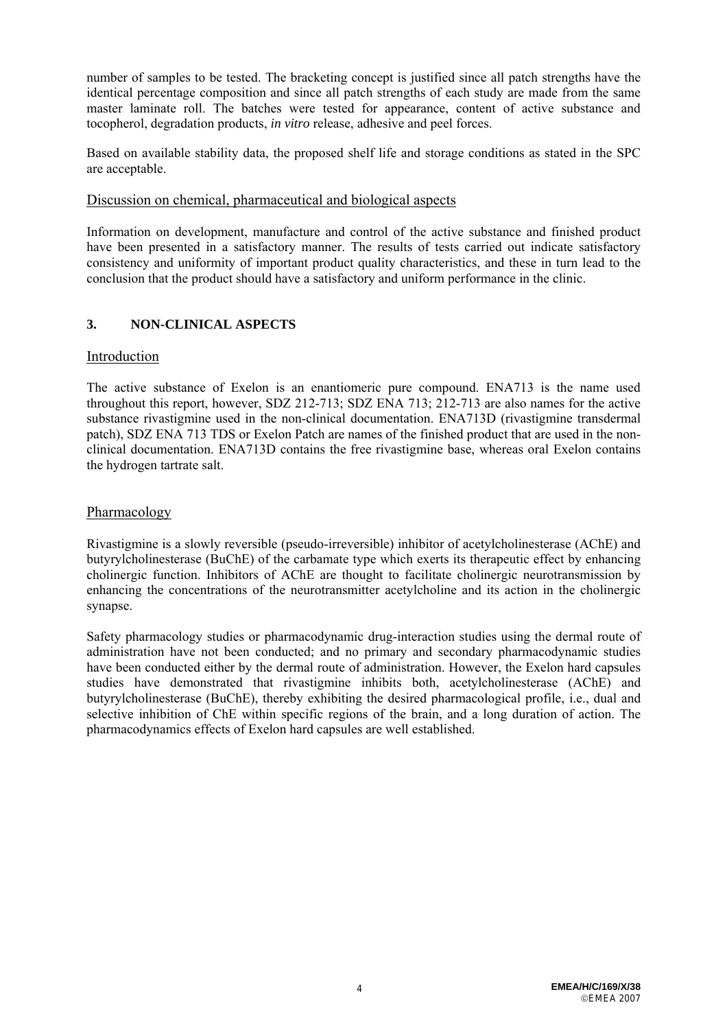number of samples to be tested. The bracketing concept is justified since all patch strengths have the identical percentage composition and since all patch strengths of each study are made from the same master laminate roll. The batches were tested for appearance, content of active substance and tocopherol, degradation products, *in vitro* release, adhesive and peel forces.

Based on available stability data, the proposed shelf life and storage conditions as stated in the SPC are acceptable.

### Discussion on chemical, pharmaceutical and biological aspects

Information on development, manufacture and control of the active substance and finished product have been presented in a satisfactory manner. The results of tests carried out indicate satisfactory consistency and uniformity of important product quality characteristics, and these in turn lead to the conclusion that the product should have a satisfactory and uniform performance in the clinic.

# **3. NON-CLINICAL ASPECTS**

#### Introduction

The active substance of Exelon is an enantiomeric pure compound. ENA713 is the name used throughout this report, however, SDZ 212-713; SDZ ENA 713; 212-713 are also names for the active substance rivastigmine used in the non-clinical documentation. ENA713D (rivastigmine transdermal patch), SDZ ENA 713 TDS or Exelon Patch are names of the finished product that are used in the nonclinical documentation. ENA713D contains the free rivastigmine base, whereas oral Exelon contains the hydrogen tartrate salt.

### Pharmacology

Rivastigmine is a slowly reversible (pseudo-irreversible) inhibitor of acetylcholinesterase (AChE) and butyrylcholinesterase (BuChE) of the carbamate type which exerts its therapeutic effect by enhancing cholinergic function. Inhibitors of AChE are thought to facilitate cholinergic neurotransmission by enhancing the concentrations of the neurotransmitter acetylcholine and its action in the cholinergic synapse.

Safety pharmacology studies or pharmacodynamic drug-interaction studies using the dermal route of administration have not been conducted; and no primary and secondary pharmacodynamic studies have been conducted either by the dermal route of administration. However, the Exelon hard capsules studies have demonstrated that rivastigmine inhibits both, acetylcholinesterase (AChE) and butyrylcholinesterase (BuChE), thereby exhibiting the desired pharmacological profile, i.e., dual and selective inhibition of ChE within specific regions of the brain, and a long duration of action. The pharmacodynamics effects of Exelon hard capsules are well established.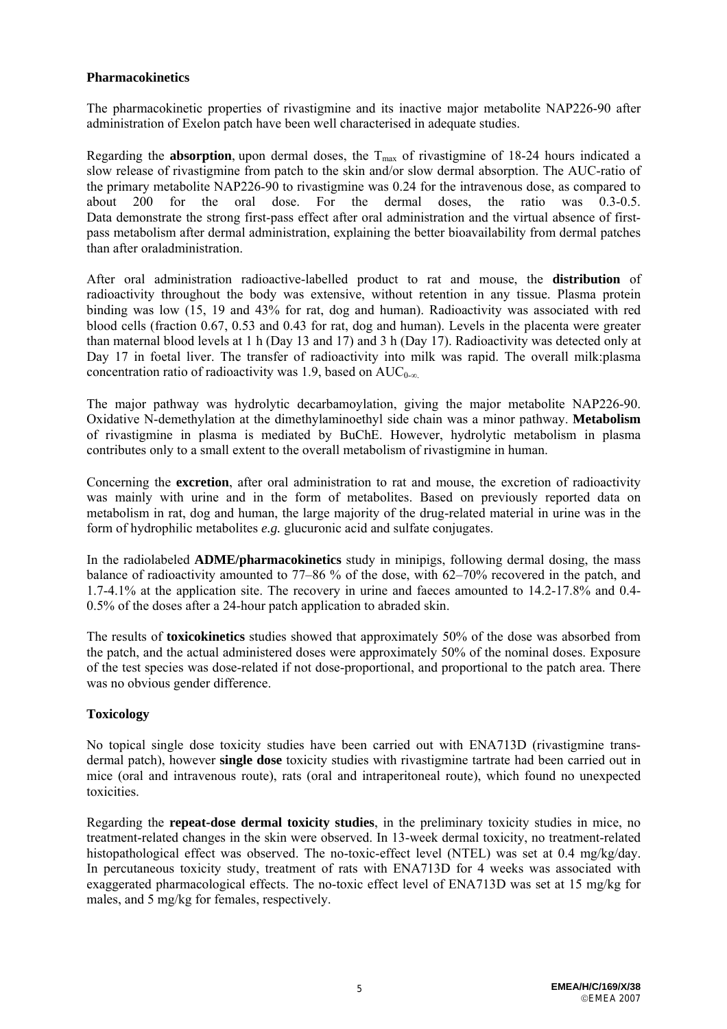### **Pharmacokinetics**

The pharmacokinetic properties of rivastigmine and its inactive major metabolite NAP226-90 after administration of Exelon patch have been well characterised in adequate studies.

Regarding the **absorption**, upon dermal doses, the  $T_{\text{max}}$  of rivastigmine of 18-24 hours indicated a slow release of rivastigmine from patch to the skin and/or slow dermal absorption. The AUC-ratio of the primary metabolite NAP226-90 to rivastigmine was 0.24 for the intravenous dose, as compared to about 200 for the oral dose. For the dermal doses, the ratio was 0.3-0.5. Data demonstrate the strong first-pass effect after oral administration and the virtual absence of firstpass metabolism after dermal administration, explaining the better bioavailability from dermal patches than after oraladministration.

After oral administration radioactive-labelled product to rat and mouse, the **distribution** of radioactivity throughout the body was extensive, without retention in any tissue. Plasma protein binding was low (15, 19 and 43% for rat, dog and human). Radioactivity was associated with red blood cells (fraction 0.67, 0.53 and 0.43 for rat, dog and human). Levels in the placenta were greater than maternal blood levels at 1 h (Day 13 and 17) and 3 h (Day 17). Radioactivity was detected only at Day 17 in foetal liver. The transfer of radioactivity into milk was rapid. The overall milk:plasma concentration ratio of radioactivity was 1.9, based on  $AUC_{0-\infty}$ .

The major pathway was hydrolytic decarbamoylation, giving the major metabolite NAP226-90. Oxidative N-demethylation at the dimethylaminoethyl side chain was a minor pathway. **Metabolism**  of rivastigmine in plasma is mediated by BuChE. However, hydrolytic metabolism in plasma contributes only to a small extent to the overall metabolism of rivastigmine in human.

Concerning the **excretion**, after oral administration to rat and mouse, the excretion of radioactivity was mainly with urine and in the form of metabolites. Based on previously reported data on metabolism in rat, dog and human, the large majority of the drug-related material in urine was in the form of hydrophilic metabolites *e.g.* glucuronic acid and sulfate conjugates.

In the radiolabeled **ADME/pharmacokinetics** study in minipigs, following dermal dosing, the mass balance of radioactivity amounted to 77–86 % of the dose, with 62–70% recovered in the patch, and 1.7-4.1% at the application site. The recovery in urine and faeces amounted to 14.2-17.8% and 0.4- 0.5% of the doses after a 24-hour patch application to abraded skin.

The results of **toxicokinetics** studies showed that approximately 50% of the dose was absorbed from the patch, and the actual administered doses were approximately 50% of the nominal doses. Exposure of the test species was dose-related if not dose-proportional, and proportional to the patch area. There was no obvious gender difference.

## **Toxicology**

No topical single dose toxicity studies have been carried out with ENA713D (rivastigmine transdermal patch), however **single dose** toxicity studies with rivastigmine tartrate had been carried out in mice (oral and intravenous route), rats (oral and intraperitoneal route), which found no unexpected toxicities.

Regarding the **repeat-dose dermal toxicity studies**, in the preliminary toxicity studies in mice, no treatment-related changes in the skin were observed. In 13-week dermal toxicity, no treatment-related histopathological effect was observed. The no-toxic-effect level (NTEL) was set at 0.4 mg/kg/day. In percutaneous toxicity study, treatment of rats with ENA713D for 4 weeks was associated with exaggerated pharmacological effects. The no-toxic effect level of ENA713D was set at 15 mg/kg for males, and 5 mg/kg for females, respectively.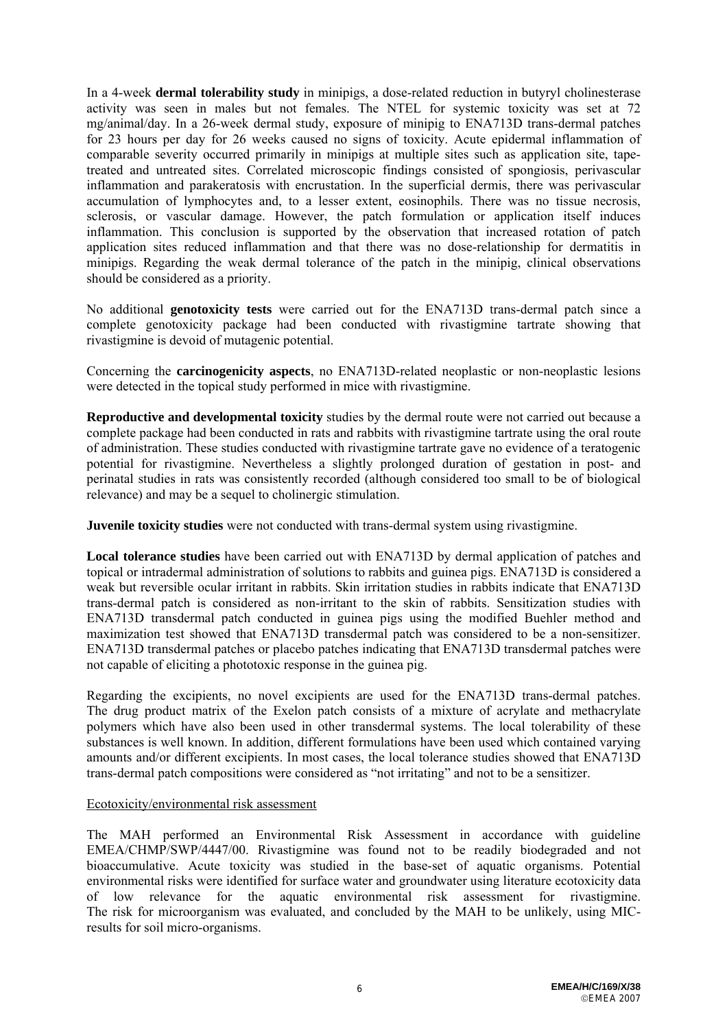In a 4-week **dermal tolerability study** in minipigs, a dose-related reduction in butyryl cholinesterase activity was seen in males but not females. The NTEL for systemic toxicity was set at 72 mg/animal/day. In a 26-week dermal study, exposure of minipig to ENA713D trans-dermal patches for 23 hours per day for 26 weeks caused no signs of toxicity. Acute epidermal inflammation of comparable severity occurred primarily in minipigs at multiple sites such as application site, tapetreated and untreated sites. Correlated microscopic findings consisted of spongiosis, perivascular inflammation and parakeratosis with encrustation. In the superficial dermis, there was perivascular accumulation of lymphocytes and, to a lesser extent, eosinophils. There was no tissue necrosis, sclerosis, or vascular damage. However, the patch formulation or application itself induces inflammation. This conclusion is supported by the observation that increased rotation of patch application sites reduced inflammation and that there was no dose-relationship for dermatitis in minipigs. Regarding the weak dermal tolerance of the patch in the minipig, clinical observations should be considered as a priority.

No additional **genotoxicity tests** were carried out for the ENA713D trans-dermal patch since a complete genotoxicity package had been conducted with rivastigmine tartrate showing that rivastigmine is devoid of mutagenic potential.

Concerning the **carcinogenicity aspects**, no ENA713D-related neoplastic or non-neoplastic lesions were detected in the topical study performed in mice with rivastigmine.

**Reproductive and developmental toxicity** studies by the dermal route were not carried out because a complete package had been conducted in rats and rabbits with rivastigmine tartrate using the oral route of administration. These studies conducted with rivastigmine tartrate gave no evidence of a teratogenic potential for rivastigmine. Nevertheless a slightly prolonged duration of gestation in post- and perinatal studies in rats was consistently recorded (although considered too small to be of biological relevance) and may be a sequel to cholinergic stimulation.

**Juvenile toxicity studies** were not conducted with trans-dermal system using rivastigmine.

**Local tolerance studies** have been carried out with ENA713D by dermal application of patches and topical or intradermal administration of solutions to rabbits and guinea pigs. ENA713D is considered a weak but reversible ocular irritant in rabbits. Skin irritation studies in rabbits indicate that ENA713D trans-dermal patch is considered as non-irritant to the skin of rabbits. Sensitization studies with ENA713D transdermal patch conducted in guinea pigs using the modified Buehler method and maximization test showed that ENA713D transdermal patch was considered to be a non-sensitizer. ENA713D transdermal patches or placebo patches indicating that ENA713D transdermal patches were not capable of eliciting a phototoxic response in the guinea pig.

Regarding the excipients, no novel excipients are used for the ENA713D trans-dermal patches. The drug product matrix of the Exelon patch consists of a mixture of acrylate and methacrylate polymers which have also been used in other transdermal systems. The local tolerability of these substances is well known. In addition, different formulations have been used which contained varying amounts and/or different excipients. In most cases, the local tolerance studies showed that ENA713D trans-dermal patch compositions were considered as "not irritating" and not to be a sensitizer.

#### Ecotoxicity/environmental risk assessment

The MAH performed an Environmental Risk Assessment in accordance with guideline EMEA/CHMP/SWP/4447/00. Rivastigmine was found not to be readily biodegraded and not bioaccumulative. Acute toxicity was studied in the base-set of aquatic organisms. Potential environmental risks were identified for surface water and groundwater using literature ecotoxicity data of low relevance for the aquatic environmental risk assessment for rivastigmine. The risk for microorganism was evaluated, and concluded by the MAH to be unlikely, using MICresults for soil micro-organisms.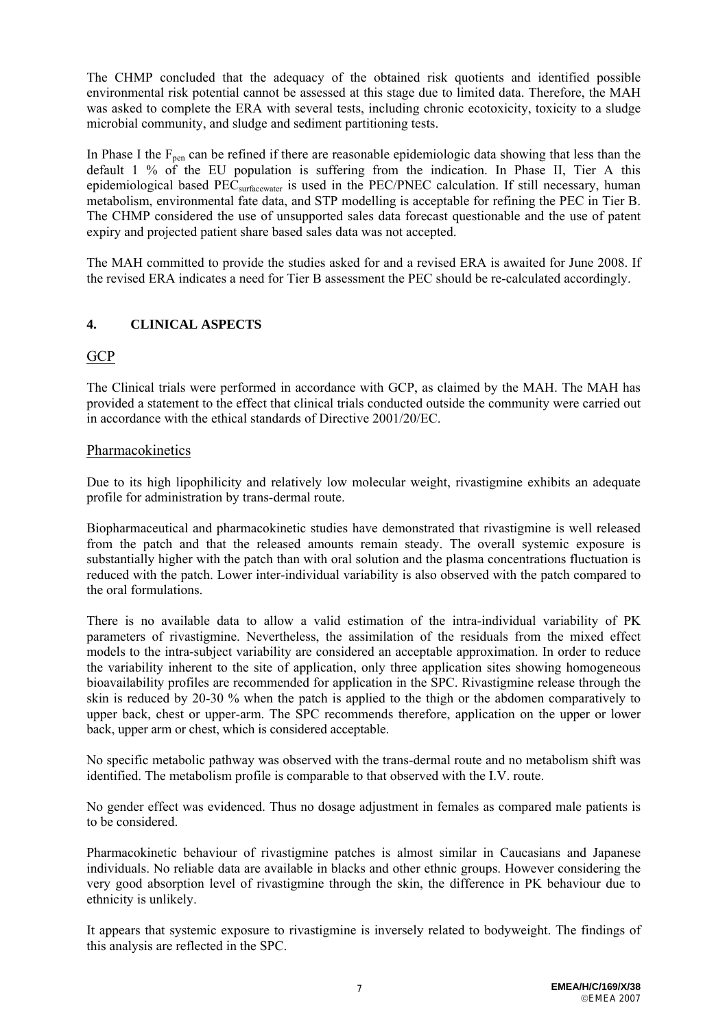The CHMP concluded that the adequacy of the obtained risk quotients and identified possible environmental risk potential cannot be assessed at this stage due to limited data. Therefore, the MAH was asked to complete the ERA with several tests, including chronic ecotoxicity, toxicity to a sludge microbial community, and sludge and sediment partitioning tests.

In Phase I the  $F_{\text{pen}}$  can be refined if there are reasonable epidemiologic data showing that less than the default 1 % of the EU population is suffering from the indication. In Phase II, Tier A this epidemiological based PEC<sub>surfacewater</sub> is used in the PEC/PNEC calculation. If still necessary, human metabolism, environmental fate data, and STP modelling is acceptable for refining the PEC in Tier B. The CHMP considered the use of unsupported sales data forecast questionable and the use of patent expiry and projected patient share based sales data was not accepted.

The MAH committed to provide the studies asked for and a revised ERA is awaited for June 2008. If the revised ERA indicates a need for Tier B assessment the PEC should be re-calculated accordingly.

# **4. CLINICAL ASPECTS**

# **GCP**

The Clinical trials were performed in accordance with GCP, as claimed by the MAH. The MAH has provided a statement to the effect that clinical trials conducted outside the community were carried out in accordance with the ethical standards of Directive 2001/20/EC.

## Pharmacokinetics

Due to its high lipophilicity and relatively low molecular weight, rivastigmine exhibits an adequate profile for administration by trans-dermal route.

Biopharmaceutical and pharmacokinetic studies have demonstrated that rivastigmine is well released from the patch and that the released amounts remain steady. The overall systemic exposure is substantially higher with the patch than with oral solution and the plasma concentrations fluctuation is reduced with the patch. Lower inter-individual variability is also observed with the patch compared to the oral formulations.

There is no available data to allow a valid estimation of the intra-individual variability of PK parameters of rivastigmine. Nevertheless, the assimilation of the residuals from the mixed effect models to the intra-subject variability are considered an acceptable approximation. In order to reduce the variability inherent to the site of application, only three application sites showing homogeneous bioavailability profiles are recommended for application in the SPC. Rivastigmine release through the skin is reduced by 20-30 % when the patch is applied to the thigh or the abdomen comparatively to upper back, chest or upper-arm. The SPC recommends therefore, application on the upper or lower back, upper arm or chest, which is considered acceptable.

No specific metabolic pathway was observed with the trans-dermal route and no metabolism shift was identified. The metabolism profile is comparable to that observed with the I.V. route.

No gender effect was evidenced. Thus no dosage adjustment in females as compared male patients is to be considered.

Pharmacokinetic behaviour of rivastigmine patches is almost similar in Caucasians and Japanese individuals. No reliable data are available in blacks and other ethnic groups. However considering the very good absorption level of rivastigmine through the skin, the difference in PK behaviour due to ethnicity is unlikely.

It appears that systemic exposure to rivastigmine is inversely related to bodyweight. The findings of this analysis are reflected in the SPC.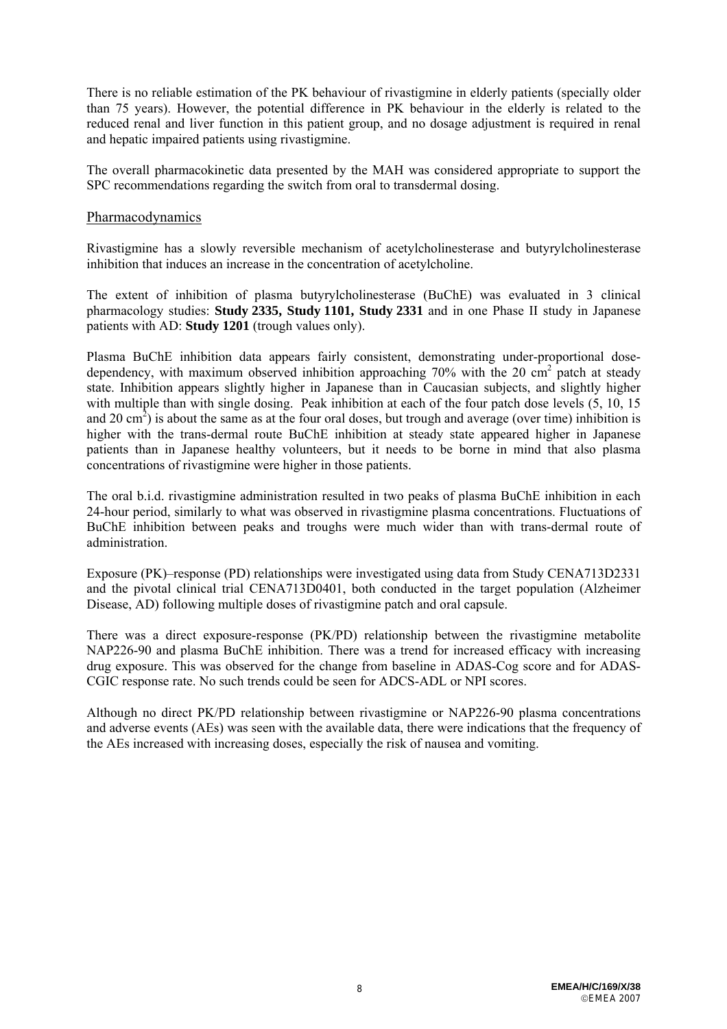There is no reliable estimation of the PK behaviour of rivastigmine in elderly patients (specially older than 75 years). However, the potential difference in PK behaviour in the elderly is related to the reduced renal and liver function in this patient group, and no dosage adjustment is required in renal and hepatic impaired patients using rivastigmine.

The overall pharmacokinetic data presented by the MAH was considered appropriate to support the SPC recommendations regarding the switch from oral to transdermal dosing.

#### Pharmacodynamics

Rivastigmine has a slowly reversible mechanism of acetylcholinesterase and butyrylcholinesterase inhibition that induces an increase in the concentration of acetylcholine.

The extent of inhibition of plasma butyrylcholinesterase (BuChE) was evaluated in 3 clinical pharmacology studies: **Study 2335, Study 1101, Study 2331** and in one Phase II study in Japanese patients with AD: **Study 1201** (trough values only).

Plasma BuChE inhibition data appears fairly consistent, demonstrating under-proportional dosedependency, with maximum observed inhibition approaching 70% with the 20  $\text{cm}^2$  patch at steady state. Inhibition appears slightly higher in Japanese than in Caucasian subjects, and slightly higher with multiple than with single dosing. Peak inhibition at each of the four patch dose levels  $(5, 10, 15)$ and 20 cm<sup>2</sup>) is about the same as at the four oral doses, but trough and average (over time) inhibition is higher with the trans-dermal route BuChE inhibition at steady state appeared higher in Japanese patients than in Japanese healthy volunteers, but it needs to be borne in mind that also plasma concentrations of rivastigmine were higher in those patients.

The oral b.i.d. rivastigmine administration resulted in two peaks of plasma BuChE inhibition in each 24-hour period, similarly to what was observed in rivastigmine plasma concentrations. Fluctuations of BuChE inhibition between peaks and troughs were much wider than with trans-dermal route of administration.

Exposure (PK)–response (PD) relationships were investigated using data from Study CENA713D2331 and the pivotal clinical trial CENA713D0401, both conducted in the target population (Alzheimer Disease, AD) following multiple doses of rivastigmine patch and oral capsule.

There was a direct exposure-response (PK/PD) relationship between the rivastigmine metabolite NAP226-90 and plasma BuChE inhibition. There was a trend for increased efficacy with increasing drug exposure. This was observed for the change from baseline in ADAS-Cog score and for ADAS-CGIC response rate. No such trends could be seen for ADCS-ADL or NPI scores.

Although no direct PK/PD relationship between rivastigmine or NAP226-90 plasma concentrations and adverse events (AEs) was seen with the available data, there were indications that the frequency of the AEs increased with increasing doses, especially the risk of nausea and vomiting.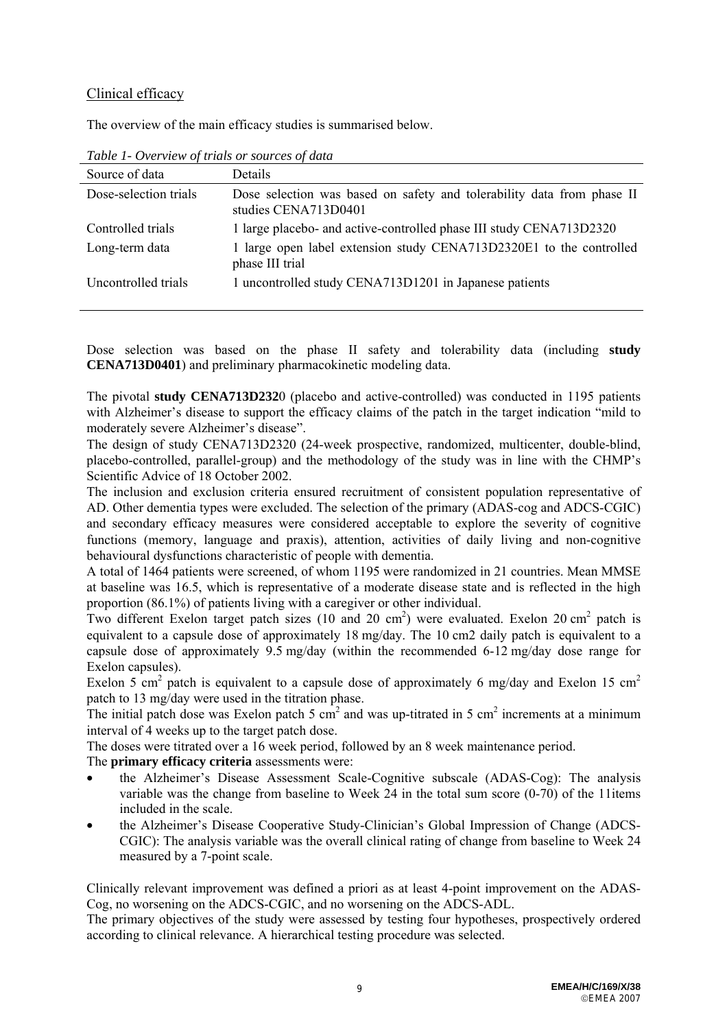# Clinical efficacy

The overview of the main efficacy studies is summarised below.

| Source of data        | <b>Details</b>                                                                                 |
|-----------------------|------------------------------------------------------------------------------------------------|
| Dose-selection trials | Dose selection was based on safety and tolerability data from phase II<br>studies CENA713D0401 |
| Controlled trials     | 1 large placebo- and active-controlled phase III study CENA713D2320                            |
| Long-term data        | 1 large open label extension study CENA713D2320E1 to the controlled<br>phase III trial         |
| Uncontrolled trials   | 1 uncontrolled study CENA713D1201 in Japanese patients                                         |
|                       |                                                                                                |

*Table 1- Overview of trials or sources of data* 

Dose selection was based on the phase II safety and tolerability data (including **study CENA713D0401**) and preliminary pharmacokinetic modeling data.

The pivotal **study CENA713D232**0 (placebo and active-controlled) was conducted in 1195 patients with Alzheimer's disease to support the efficacy claims of the patch in the target indication "mild to moderately severe Alzheimer's disease".

The design of study CENA713D2320 (24-week prospective, randomized, multicenter, double-blind, placebo-controlled, parallel-group) and the methodology of the study was in line with the CHMP's Scientific Advice of 18 October 2002.

The inclusion and exclusion criteria ensured recruitment of consistent population representative of AD. Other dementia types were excluded. The selection of the primary (ADAS-cog and ADCS-CGIC) and secondary efficacy measures were considered acceptable to explore the severity of cognitive functions (memory, language and praxis), attention, activities of daily living and non-cognitive behavioural dysfunctions characteristic of people with dementia.

A total of 1464 patients were screened, of whom 1195 were randomized in 21 countries. Mean MMSE at baseline was 16.5, which is representative of a moderate disease state and is reflected in the high proportion (86.1%) of patients living with a caregiver or other individual.

Two different Exelon target patch sizes (10 and 20 cm<sup>2</sup>) were evaluated. Exelon 20 cm<sup>2</sup> patch is equivalent to a capsule dose of approximately 18 mg/day. The 10 cm2 daily patch is equivalent to a capsule dose of approximately 9.5 mg/day (within the recommended 6-12 mg/day dose range for Exelon capsules).

Exelon 5 cm<sup>2</sup> patch is equivalent to a capsule dose of approximately 6 mg/day and Exelon 15 cm<sup>2</sup> patch to 13 mg/day were used in the titration phase.

The initial patch dose was Exelon patch 5 cm<sup>2</sup> and was up-titrated in 5 cm<sup>2</sup> increments at a minimum interval of 4 weeks up to the target patch dose.

The doses were titrated over a 16 week period, followed by an 8 week maintenance period.

The **primary efficacy criteria** assessments were:

- the Alzheimer's Disease Assessment Scale-Cognitive subscale (ADAS-Cog): The analysis variable was the change from baseline to Week 24 in the total sum score (0-70) of the 11items included in the scale.
- the Alzheimer's Disease Cooperative Study-Clinician's Global Impression of Change (ADCS-CGIC): The analysis variable was the overall clinical rating of change from baseline to Week 24 measured by a 7-point scale.

Clinically relevant improvement was defined a priori as at least 4-point improvement on the ADAS-Cog, no worsening on the ADCS-CGIC, and no worsening on the ADCS-ADL.

The primary objectives of the study were assessed by testing four hypotheses, prospectively ordered according to clinical relevance. A hierarchical testing procedure was selected.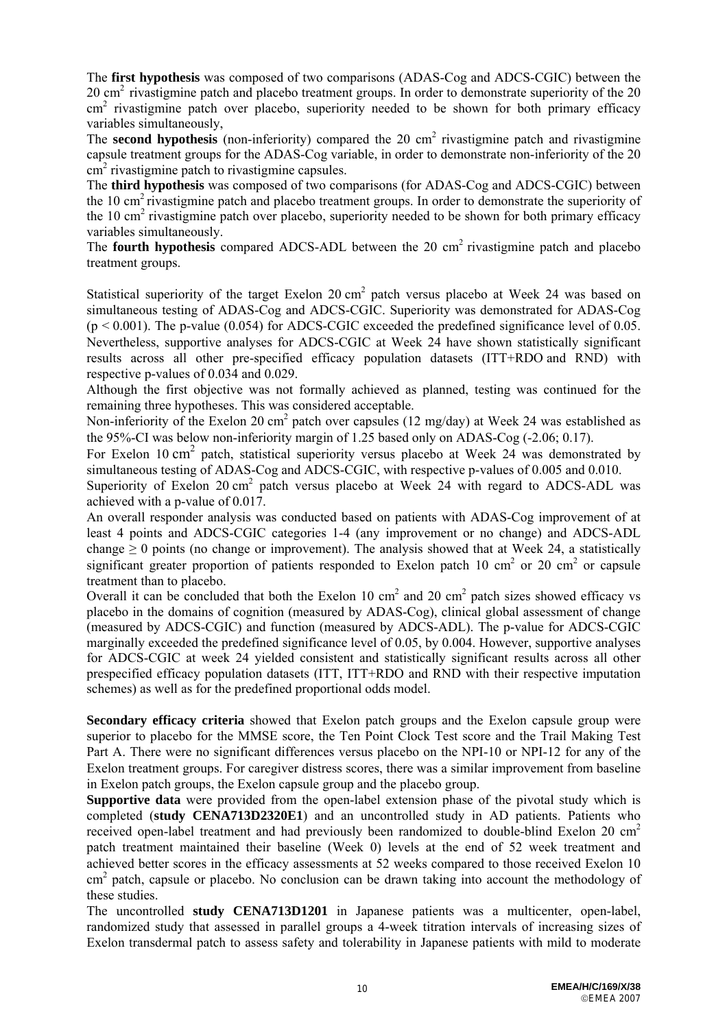The **first hypothesis** was composed of two comparisons (ADAS-Cog and ADCS-CGIC) between the 20 cm<sup>2</sup> rivastigmine patch and placebo treatment groups. In order to demonstrate superiority of the 20 cm<sup>2</sup> rivastigmine patch over placebo, superiority needed to be shown for both primary efficacy variables simultaneously,

The **second hypothesis** (non-inferiority) compared the 20  $\text{cm}^2$  rivastigmine patch and rivastigmine capsule treatment groups for the ADAS-Cog variable, in order to demonstrate non-inferiority of the 20  $\text{cm}^2$  rivastigmine patch to rivastigmine capsules.

The **third hypothesis** was composed of two comparisons (for ADAS-Cog and ADCS-CGIC) between the 10 cm<sup>2</sup> rivastigmine patch and placebo treatment groups. In order to demonstrate the superiority of the 10 cm<sup>2</sup> rivastigmine patch over placebo, superiority needed to be shown for both primary efficacy variables simultaneously.

The **fourth hypothesis** compared ADCS-ADL between the 20 cm<sup>2</sup> rivastigmine patch and placebo treatment groups.

Statistical superiority of the target Exelon  $20 \text{ cm}^2$  patch versus placebo at Week 24 was based on simultaneous testing of ADAS-Cog and ADCS-CGIC. Superiority was demonstrated for ADAS-Cog  $(p \le 0.001)$ . The p-value (0.054) for ADCS-CGIC exceeded the predefined significance level of 0.05. Nevertheless, supportive analyses for ADCS-CGIC at Week 24 have shown statistically significant results across all other pre-specified efficacy population datasets (ITT+RDO and RND) with respective p-values of 0.034 and 0.029.

Although the first objective was not formally achieved as planned, testing was continued for the remaining three hypotheses. This was considered acceptable.

Non-inferiority of the Exelon 20 cm<sup>2</sup> patch over capsules (12 mg/day) at Week 24 was established as the 95%-CI was below non-inferiority margin of 1.25 based only on ADAS-Cog (-2.06; 0.17).

For Exelon 10 cm<sup>2</sup> patch, statistical superiority versus placebo at Week 24 was demonstrated by simultaneous testing of ADAS-Cog and ADCS-CGIC, with respective p-values of 0.005 and 0.010.

Superiority of Exelon 20 cm<sup>2</sup> patch versus placebo at Week 24 with regard to ADCS-ADL was achieved with a p-value of 0.017.

An overall responder analysis was conducted based on patients with ADAS-Cog improvement of at least 4 points and ADCS-CGIC categories 1-4 (any improvement or no change) and ADCS-ADL change  $\geq 0$  points (no change or improvement). The analysis showed that at Week 24, a statistically significant greater proportion of patients responded to Exelon patch 10 cm<sup>2</sup> or 20 cm<sup>2</sup> or capsule treatment than to placebo.

Overall it can be concluded that both the Exelon 10 cm<sup>2</sup> and 20 cm<sup>2</sup> patch sizes showed efficacy vs placebo in the domains of cognition (measured by ADAS-Cog), clinical global assessment of change (measured by ADCS-CGIC) and function (measured by ADCS-ADL). The p-value for ADCS-CGIC marginally exceeded the predefined significance level of 0.05, by 0.004. However, supportive analyses for ADCS-CGIC at week 24 yielded consistent and statistically significant results across all other prespecified efficacy population datasets (ITT, ITT+RDO and RND with their respective imputation schemes) as well as for the predefined proportional odds model.

**Secondary efficacy criteria** showed that Exelon patch groups and the Exelon capsule group were superior to placebo for the MMSE score, the Ten Point Clock Test score and the Trail Making Test Part A. There were no significant differences versus placebo on the NPI-10 or NPI-12 for any of the Exelon treatment groups. For caregiver distress scores, there was a similar improvement from baseline in Exelon patch groups, the Exelon capsule group and the placebo group.

**Supportive data** were provided from the open-label extension phase of the pivotal study which is completed (**study CENA713D2320E1**) and an uncontrolled study in AD patients. Patients who received open-label treatment and had previously been randomized to double-blind Exelon 20 cm<sup>2</sup> patch treatment maintained their baseline (Week 0) levels at the end of 52 week treatment and achieved better scores in the efficacy assessments at 52 weeks compared to those received Exelon 10 cm<sup>2</sup> patch, capsule or placebo. No conclusion can be drawn taking into account the methodology of these studies.

The uncontrolled **study CENA713D1201** in Japanese patients was a multicenter, open-label, randomized study that assessed in parallel groups a 4-week titration intervals of increasing sizes of Exelon transdermal patch to assess safety and tolerability in Japanese patients with mild to moderate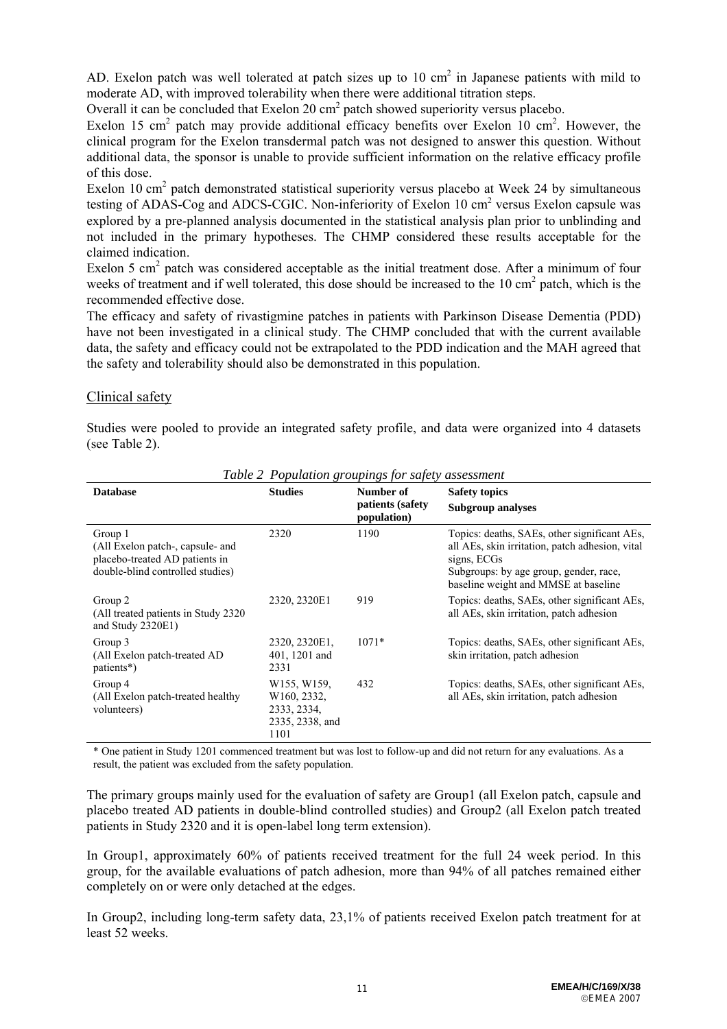AD. Exelon patch was well tolerated at patch sizes up to  $10 \text{ cm}^2$  in Japanese patients with mild to moderate AD, with improved tolerability when there were additional titration steps.

Overall it can be concluded that Exelon 20  $\text{cm}^2$  patch showed superiority versus placebo.

Exelon 15 cm<sup>2</sup> patch may provide additional efficacy benefits over Exelon  $10 \text{ cm}^2$ . However, the clinical program for the Exelon transdermal patch was not designed to answer this question. Without additional data, the sponsor is unable to provide sufficient information on the relative efficacy profile of this dose.

Exelon 10 cm<sup>2</sup> patch demonstrated statistical superiority versus placebo at Week 24 by simultaneous testing of ADAS-Cog and ADCS-CGIC. Non-inferiority of Exelon  $10 \text{ cm}^2$  versus Exelon capsule was explored by a pre-planned analysis documented in the statistical analysis plan prior to unblinding and not included in the primary hypotheses. The CHMP considered these results acceptable for the claimed indication.

Exelon 5 cm<sup>2</sup> patch was considered acceptable as the initial treatment dose. After a minimum of four weeks of treatment and if well tolerated, this dose should be increased to the 10 cm<sup>2</sup> patch, which is the recommended effective dose.

The efficacy and safety of rivastigmine patches in patients with Parkinson Disease Dementia (PDD) have not been investigated in a clinical study. The CHMP concluded that with the current available data, the safety and efficacy could not be extrapolated to the PDD indication and the MAH agreed that the safety and tolerability should also be demonstrated in this population.

## Clinical safety

Studies were pooled to provide an integrated safety profile, and data were organized into 4 datasets (see Table 2).

| <b>Database</b>                                                                                                   | <b>Studies</b>                                                                               | Number of<br>patients (safety<br>population) | <b>Safety topics</b><br><b>Subgroup analyses</b>                                                                                                                                                 |
|-------------------------------------------------------------------------------------------------------------------|----------------------------------------------------------------------------------------------|----------------------------------------------|--------------------------------------------------------------------------------------------------------------------------------------------------------------------------------------------------|
| Group 1<br>(All Exelon patch-, capsule- and<br>placebo-treated AD patients in<br>double-blind controlled studies) | 2320                                                                                         | 1190                                         | Topics: deaths, SAEs, other significant AEs,<br>all AEs, skin irritation, patch adhesion, vital<br>signs, ECGs<br>Subgroups: by age group, gender, race,<br>baseline weight and MMSE at baseline |
| Group 2<br>(All treated patients in Study 2320)<br>and Study 2320E1)                                              | 2320, 2320E1                                                                                 | 919                                          | Topics: deaths, SAEs, other significant AEs,<br>all AEs, skin irritation, patch adhesion                                                                                                         |
| Group 3<br>(All Exelon patch-treated AD)<br>patients*)                                                            | 2320, 2320E1,<br>401, 1201 and<br>2331                                                       | $1071*$                                      | Topics: deaths, SAEs, other significant AEs,<br>skin irritation, patch adhesion                                                                                                                  |
| Group 4<br>(All Exelon patch-treated healthy)<br>volunteers)                                                      | W <sub>155</sub> , W <sub>159</sub><br>W160, 2332,<br>2333, 2334,<br>2335, 2338, and<br>1101 | 432                                          | Topics: deaths, SAEs, other significant AEs,<br>all AEs, skin irritation, patch adhesion                                                                                                         |

*Table 2 Population groupings for safety assessment* 

\* One patient in Study 1201 commenced treatment but was lost to follow-up and did not return for any evaluations. As a result, the patient was excluded from the safety population.

The primary groups mainly used for the evaluation of safety are Group1 (all Exelon patch, capsule and placebo treated AD patients in double-blind controlled studies) and Group2 (all Exelon patch treated patients in Study 2320 and it is open-label long term extension).

In Group1, approximately 60% of patients received treatment for the full 24 week period. In this group, for the available evaluations of patch adhesion, more than 94% of all patches remained either completely on or were only detached at the edges.

In Group2, including long-term safety data, 23,1% of patients received Exelon patch treatment for at least 52 weeks.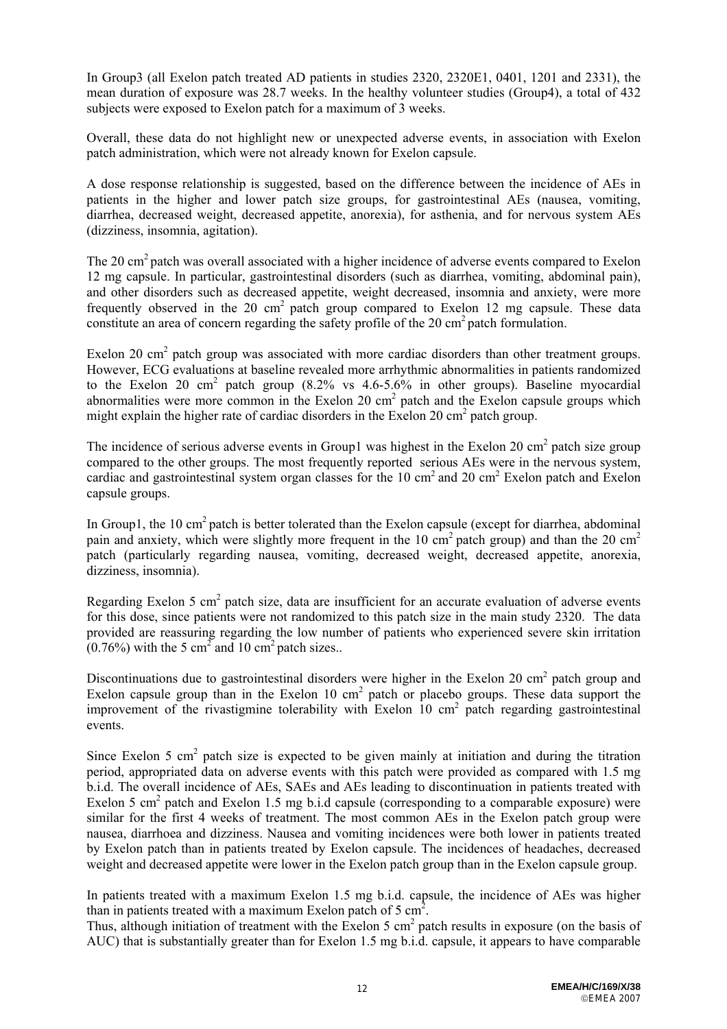In Group3 (all Exelon patch treated AD patients in studies 2320, 2320E1, 0401, 1201 and 2331), the mean duration of exposure was 28.7 weeks. In the healthy volunteer studies (Group4), a total of 432 subjects were exposed to Exelon patch for a maximum of 3 weeks.

Overall, these data do not highlight new or unexpected adverse events, in association with Exelon patch administration, which were not already known for Exelon capsule.

A dose response relationship is suggested, based on the difference between the incidence of AEs in patients in the higher and lower patch size groups, for gastrointestinal AEs (nausea, vomiting, diarrhea, decreased weight, decreased appetite, anorexia), for asthenia, and for nervous system AEs (dizziness, insomnia, agitation).

The 20 cm<sup>2</sup> patch was overall associated with a higher incidence of adverse events compared to Exelon 12 mg capsule. In particular, gastrointestinal disorders (such as diarrhea, vomiting, abdominal pain), and other disorders such as decreased appetite, weight decreased, insomnia and anxiety, were more frequently observed in the 20 cm<sup>2</sup> patch group compared to Exelon 12 mg capsule. These data constitute an area of concern regarding the safety profile of the 20 cm<sup>2</sup> patch formulation.

Exelon 20 cm<sup>2</sup> patch group was associated with more cardiac disorders than other treatment groups. However, ECG evaluations at baseline revealed more arrhythmic abnormalities in patients randomized to the Exelon 20 cm<sup>2</sup> patch group  $(8.2\% \text{ vs } 4.6-5.6\% \text{ in other groups})$ . Baseline myocardial abnormalities were more common in the Exelon  $20 \text{ cm}^2$  patch and the Exelon capsule groups which might explain the higher rate of cardiac disorders in the Exelon 20  $\text{cm}^2$  patch group.

The incidence of serious adverse events in Group1 was highest in the Exelon 20 cm<sup>2</sup> patch size group compared to the other groups. The most frequently reported serious AEs were in the nervous system, cardiac and gastrointestinal system organ classes for the 10 cm<sup>2</sup> and 20 cm<sup>2</sup> Exelon patch and Exelon capsule groups.

In Group1, the 10 cm<sup>2</sup> patch is better tolerated than the Exelon capsule (except for diarrhea, abdominal pain and anxiety, which were slightly more frequent in the 10 cm<sup>2</sup> patch group) and than the 20 cm<sup>2</sup> patch (particularly regarding nausea, vomiting, decreased weight, decreased appetite, anorexia, dizziness, insomnia).

Regarding Exelon 5 cm<sup>2</sup> patch size, data are insufficient for an accurate evaluation of adverse events for this dose, since patients were not randomized to this patch size in the main study 2320. The data provided are reassuring regarding the low number of patients who experienced severe skin irritation  $(0.76\%)$  with the 5 cm<sup>2</sup> and 10 cm<sup>2</sup> patch sizes..

Discontinuations due to gastrointestinal disorders were higher in the Exelon 20 cm<sup>2</sup> patch group and Exelon capsule group than in the Exelon  $10 \text{ cm}^2$  patch or placebo groups. These data support the improvement of the rivastigmine tolerability with Exelon  $10 \text{ cm}^2$  patch regarding gastrointestinal events.

Since Exelon 5 cm<sup>2</sup> patch size is expected to be given mainly at initiation and during the titration period, appropriated data on adverse events with this patch were provided as compared with 1.5 mg b.i.d. The overall incidence of AEs, SAEs and AEs leading to discontinuation in patients treated with Exelon 5 cm<sup>2</sup> patch and Exelon 1.5 mg b.i.d capsule (corresponding to a comparable exposure) were similar for the first 4 weeks of treatment. The most common AEs in the Exelon patch group were nausea, diarrhoea and dizziness. Nausea and vomiting incidences were both lower in patients treated by Exelon patch than in patients treated by Exelon capsule. The incidences of headaches, decreased weight and decreased appetite were lower in the Exelon patch group than in the Exelon capsule group.

In patients treated with a maximum Exelon 1.5 mg b.i.d. capsule, the incidence of AEs was higher than in patients treated with a maximum Exelon patch of 5  $\text{cm}^2$ .

Thus, although initiation of treatment with the Exelon 5 cm<sup>2</sup> patch results in exposure (on the basis of AUC) that is substantially greater than for Exelon 1.5 mg b.i.d. capsule, it appears to have comparable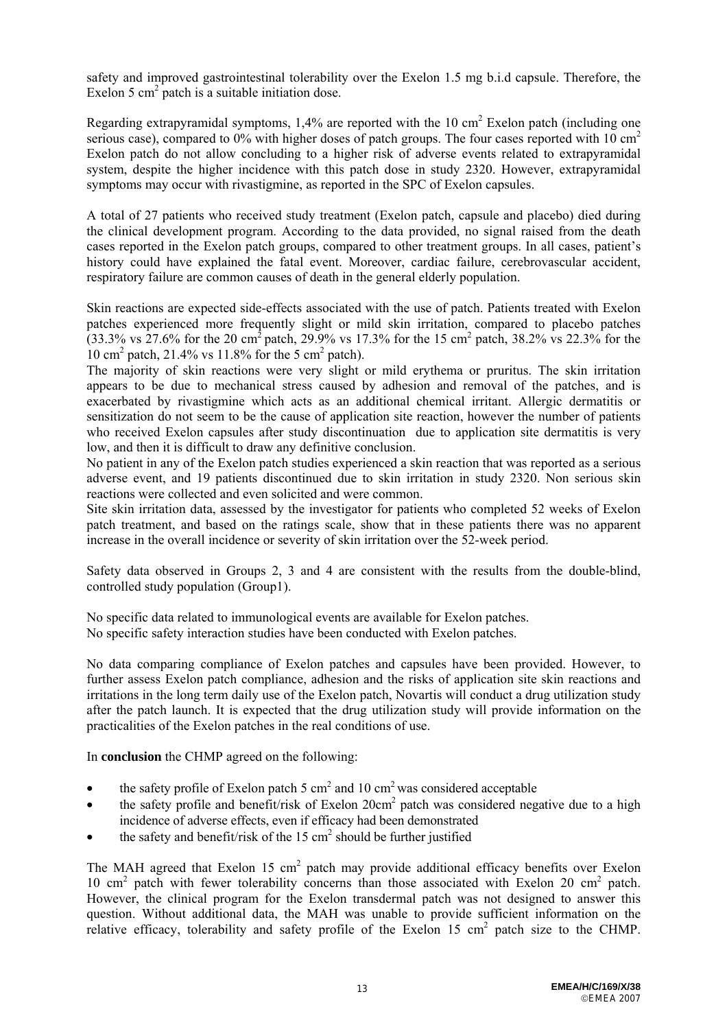safety and improved gastrointestinal tolerability over the Exelon 1.5 mg b.i.d capsule. Therefore, the Exelon 5  $\text{cm}^2$  patch is a suitable initiation dose.

Regarding extrapyramidal symptoms,  $1,4\%$  are reported with the 10 cm<sup>2</sup> Exelon patch (including one serious case), compared to 0% with higher doses of patch groups. The four cases reported with 10  $\text{cm}^2$ Exelon patch do not allow concluding to a higher risk of adverse events related to extrapyramidal system, despite the higher incidence with this patch dose in study 2320. However, extrapyramidal symptoms may occur with rivastigmine, as reported in the SPC of Exelon capsules.

A total of 27 patients who received study treatment (Exelon patch, capsule and placebo) died during the clinical development program. According to the data provided, no signal raised from the death cases reported in the Exelon patch groups, compared to other treatment groups. In all cases, patient's history could have explained the fatal event. Moreover, cardiac failure, cerebrovascular accident, respiratory failure are common causes of death in the general elderly population.

Skin reactions are expected side-effects associated with the use of patch. Patients treated with Exelon patches experienced more frequently slight or mild skin irritation, compared to placebo patches  $(33.3\% \text{ vs } 27.6\% \text{ for the } 20 \text{ cm}^2 \text{ patch}, 29.9\% \text{ vs } 17.3\% \text{ for the } 15 \text{ cm}^2 \text{ patch}, 38.2\% \text{ vs } 22.3\% \text{ for the } 20 \text{ cm}^2 \text{ patch}, 29.9\% \text{ vs } 17.3\% \text{ for the } 15 \text{ cm}^2 \text{ patch}, 38.2\% \text{ vs } 22.3\% \text{ for the } 15 \text{ cm}^2 \text{ patch}.$ 10 cm<sup>2</sup> patch, 21.4% vs 11.8% for the 5 cm<sup>2</sup> patch).

The majority of skin reactions were very slight or mild erythema or pruritus. The skin irritation appears to be due to mechanical stress caused by adhesion and removal of the patches, and is exacerbated by rivastigmine which acts as an additional chemical irritant. Allergic dermatitis or sensitization do not seem to be the cause of application site reaction, however the number of patients who received Exelon capsules after study discontinuation due to application site dermatitis is very low, and then it is difficult to draw any definitive conclusion.

No patient in any of the Exelon patch studies experienced a skin reaction that was reported as a serious adverse event, and 19 patients discontinued due to skin irritation in study 2320. Non serious skin reactions were collected and even solicited and were common.

Site skin irritation data, assessed by the investigator for patients who completed 52 weeks of Exelon patch treatment, and based on the ratings scale, show that in these patients there was no apparent increase in the overall incidence or severity of skin irritation over the 52-week period.

Safety data observed in Groups 2, 3 and 4 are consistent with the results from the double-blind, controlled study population (Group1).

No specific data related to immunological events are available for Exelon patches. No specific safety interaction studies have been conducted with Exelon patches.

No data comparing compliance of Exelon patches and capsules have been provided. However, to further assess Exelon patch compliance, adhesion and the risks of application site skin reactions and irritations in the long term daily use of the Exelon patch, Novartis will conduct a drug utilization study after the patch launch. It is expected that the drug utilization study will provide information on the practicalities of the Exelon patches in the real conditions of use.

In **conclusion** the CHMP agreed on the following:

- the safety profile of Exelon patch 5 cm<sup>2</sup> and 10 cm<sup>2</sup> was considered acceptable
- $\bullet$  the safety profile and benefit/risk of Exelon 20cm<sup>2</sup> patch was considered negative due to a high incidence of adverse effects, even if efficacy had been demonstrated
- the safety and benefit/risk of the  $15 \text{ cm}^2$  should be further justified

The MAH agreed that Exelon 15 cm<sup>2</sup> patch may provide additional efficacy benefits over Exelon 10 cm<sup>2</sup> patch with fewer tolerability concerns than those associated with Exelon 20 cm<sup>2</sup> patch. However, the clinical program for the Exelon transdermal patch was not designed to answer this question. Without additional data, the MAH was unable to provide sufficient information on the relative efficacy, tolerability and safety profile of the Exelon 15  $\text{cm}^2$  patch size to the CHMP.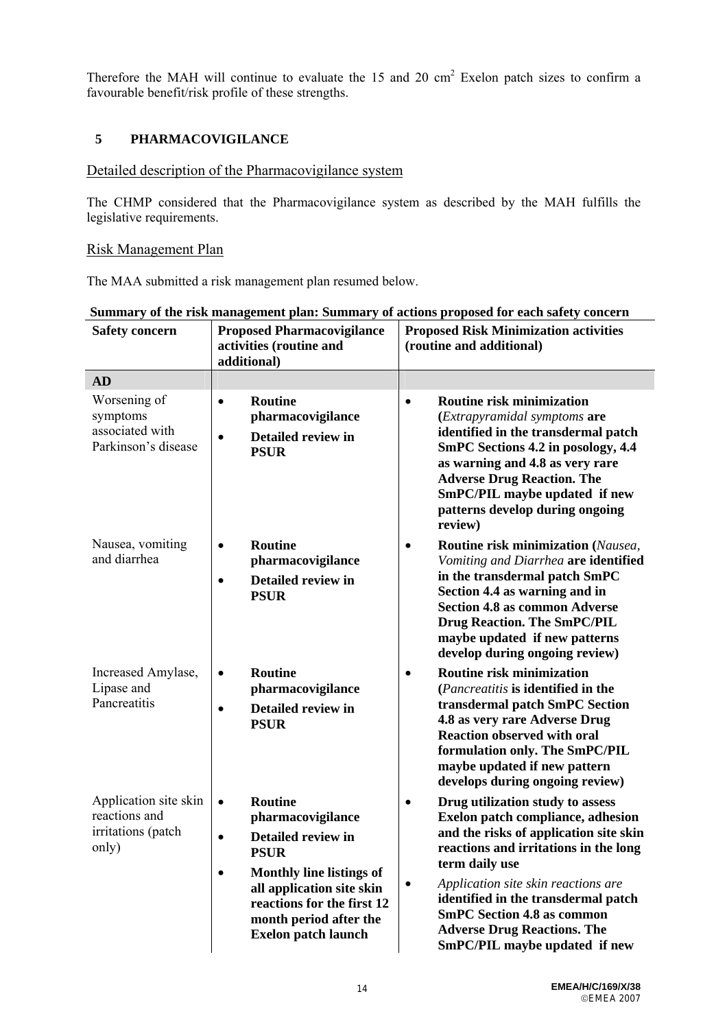Therefore the MAH will continue to evaluate the  $15$  and  $20 \text{ cm}^2$  Exelon patch sizes to confirm a favourable benefit/risk profile of these strengths.

# **5 PHARMACOVIGILANCE**

# Detailed description of the Pharmacovigilance system

The CHMP considered that the Pharmacovigilance system as described by the MAH fulfills the legislative requirements.

# Risk Management Plan

The MAA submitted a risk management plan resumed below.

| <b>Safety concern</b>                                                 | <b>Proposed Pharmacovigilance</b><br>activities (routine and<br>additional)                                                                                                                                                                                           | <b>Proposed Risk Minimization activities</b><br>(routine and additional)                                                                                                                                                                                                                                                                                                               |
|-----------------------------------------------------------------------|-----------------------------------------------------------------------------------------------------------------------------------------------------------------------------------------------------------------------------------------------------------------------|----------------------------------------------------------------------------------------------------------------------------------------------------------------------------------------------------------------------------------------------------------------------------------------------------------------------------------------------------------------------------------------|
| <b>AD</b>                                                             |                                                                                                                                                                                                                                                                       |                                                                                                                                                                                                                                                                                                                                                                                        |
| Worsening of<br>symptoms<br>associated with<br>Parkinson's disease    | <b>Routine</b><br>$\bullet$<br>pharmacovigilance<br>Detailed review in<br>$\bullet$<br><b>PSUR</b>                                                                                                                                                                    | <b>Routine risk minimization</b><br>$\bullet$<br>(Extrapyramidal symptoms are<br>identified in the transdermal patch<br>SmPC Sections 4.2 in posology, 4.4<br>as warning and 4.8 as very rare<br><b>Adverse Drug Reaction. The</b><br>SmPC/PIL maybe updated if new<br>patterns develop during ongoing<br>review)                                                                      |
| Nausea, vomiting<br>and diarrhea                                      | <b>Routine</b><br>$\bullet$<br>pharmacovigilance<br>Detailed review in<br>$\bullet$<br><b>PSUR</b>                                                                                                                                                                    | Routine risk minimization (Nausea,<br>$\bullet$<br>Vomiting and Diarrhea are identified<br>in the transdermal patch SmPC<br>Section 4.4 as warning and in<br><b>Section 4.8 as common Adverse</b><br><b>Drug Reaction. The SmPC/PIL</b><br>maybe updated if new patterns<br>develop during ongoing review)                                                                             |
| Increased Amylase,<br>Lipase and<br>Pancreatitis                      | <b>Routine</b><br>$\bullet$<br>pharmacovigilance<br>Detailed review in<br>$\bullet$<br><b>PSUR</b>                                                                                                                                                                    | <b>Routine risk minimization</b><br>$\bullet$<br>(Pancreatitis is identified in the<br>transdermal patch SmPC Section<br>4.8 as very rare Adverse Drug<br><b>Reaction observed with oral</b><br>formulation only. The SmPC/PIL<br>maybe updated if new pattern<br>develops during ongoing review)                                                                                      |
| Application site skin<br>reactions and<br>irritations (patch<br>only) | <b>Routine</b><br>$\bullet$<br>pharmacovigilance<br>Detailed review in<br>$\bullet$<br><b>PSUR</b><br><b>Monthly line listings of</b><br>$\bullet$<br>all application site skin<br>reactions for the first 12<br>month period after the<br><b>Exelon patch launch</b> | Drug utilization study to assess<br>$\bullet$<br>Exelon patch compliance, adhesion<br>and the risks of application site skin<br>reactions and irritations in the long<br>term daily use<br>Application site skin reactions are<br>٠<br>identified in the transdermal patch<br><b>SmPC Section 4.8 as common</b><br><b>Adverse Drug Reactions. The</b><br>SmPC/PIL maybe updated if new |

#### **Summary of the risk management plan: Summary of actions proposed for each safety concern**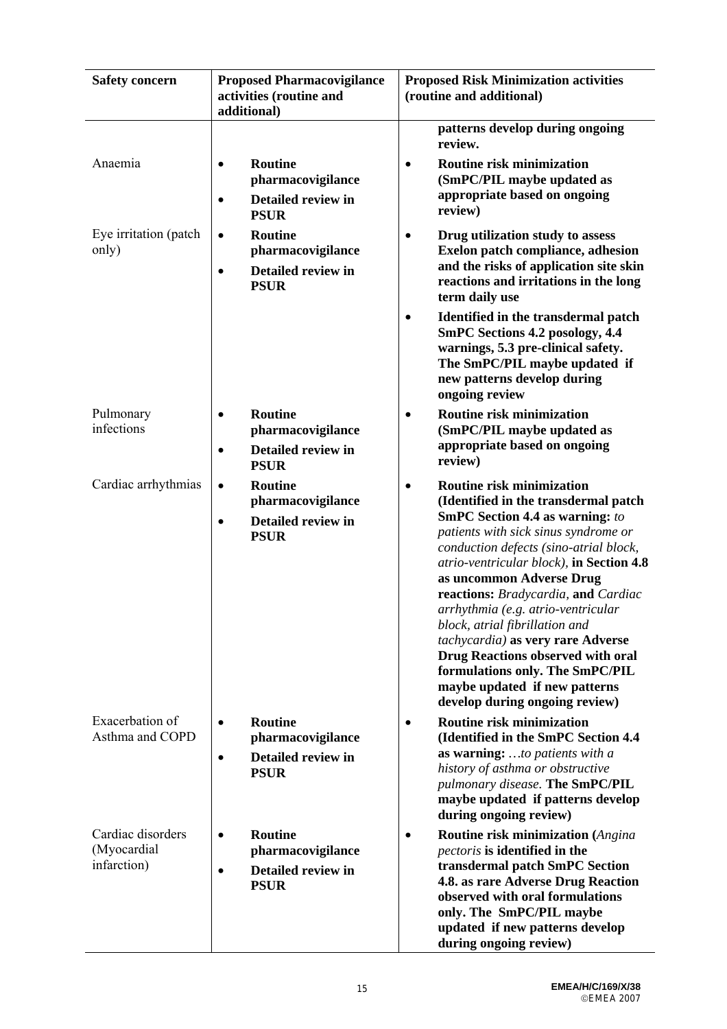| <b>Safety concern</b>                           | <b>Proposed Pharmacovigilance</b><br>activities (routine and<br>additional)                               | <b>Proposed Risk Minimization activities</b><br>(routine and additional)                                                                                                                                                                                                                                                                                                                                                                                                                                                                                                           |
|-------------------------------------------------|-----------------------------------------------------------------------------------------------------------|------------------------------------------------------------------------------------------------------------------------------------------------------------------------------------------------------------------------------------------------------------------------------------------------------------------------------------------------------------------------------------------------------------------------------------------------------------------------------------------------------------------------------------------------------------------------------------|
| Anaemia                                         | <b>Routine</b><br>$\bullet$<br>pharmacovigilance<br><b>Detailed review in</b><br>$\bullet$<br><b>PSUR</b> | patterns develop during ongoing<br>review.<br>Routine risk minimization<br>$\bullet$<br>(SmPC/PIL maybe updated as<br>appropriate based on ongoing<br>review)                                                                                                                                                                                                                                                                                                                                                                                                                      |
| Eye irritation (patch<br>only)                  | <b>Routine</b><br>$\bullet$<br>pharmacovigilance<br>Detailed review in<br>$\bullet$<br><b>PSUR</b>        | Drug utilization study to assess<br>Exelon patch compliance, adhesion<br>and the risks of application site skin<br>reactions and irritations in the long<br>term daily use<br>Identified in the transdermal patch<br>٠<br><b>SmPC Sections 4.2 posology, 4.4</b><br>warnings, 5.3 pre-clinical safety.<br>The SmPC/PIL maybe updated if<br>new patterns develop during                                                                                                                                                                                                             |
| Pulmonary<br>infections                         | <b>Routine</b><br>$\bullet$<br>pharmacovigilance<br>Detailed review in<br>$\bullet$<br><b>PSUR</b>        | ongoing review<br><b>Routine risk minimization</b><br>(SmPC/PIL maybe updated as<br>appropriate based on ongoing<br>review)                                                                                                                                                                                                                                                                                                                                                                                                                                                        |
| Cardiac arrhythmias                             | <b>Routine</b><br>$\bullet$<br>pharmacovigilance<br><b>Detailed review in</b><br>$\bullet$<br><b>PSUR</b> | <b>Routine risk minimization</b><br>(Identified in the transdermal patch<br><b>SmPC Section 4.4 as warning:</b> to<br>patients with sick sinus syndrome or<br>conduction defects (sino-atrial block,<br>atrio-ventricular block), in Section 4.8<br>as uncommon Adverse Drug<br>reactions: Bradycardia, and Cardiac<br>arrhythmia (e.g. atrio-ventricular<br>block, atrial fibrillation and<br>tachycardia) as very rare Adverse<br><b>Drug Reactions observed with oral</b><br>formulations only. The SmPC/PIL<br>maybe updated if new patterns<br>develop during ongoing review) |
| Exacerbation of<br>Asthma and COPD              | <b>Routine</b><br>$\bullet$<br>pharmacovigilance<br>Detailed review in<br>$\bullet$<br><b>PSUR</b>        | <b>Routine risk minimization</b><br>(Identified in the SmPC Section 4.4<br>as warning:  to patients with a<br>history of asthma or obstructive<br>pulmonary disease. The SmPC/PIL<br>maybe updated if patterns develop<br>during ongoing review)                                                                                                                                                                                                                                                                                                                                   |
| Cardiac disorders<br>(Myocardial<br>infarction) | <b>Routine</b><br>$\bullet$<br>pharmacovigilance<br><b>Detailed review in</b><br>$\bullet$<br><b>PSUR</b> | <b>Routine risk minimization</b> (Angina<br>pectoris is identified in the<br>transdermal patch SmPC Section<br>4.8. as rare Adverse Drug Reaction<br>observed with oral formulations<br>only. The SmPC/PIL maybe<br>updated if new patterns develop<br>during ongoing review)                                                                                                                                                                                                                                                                                                      |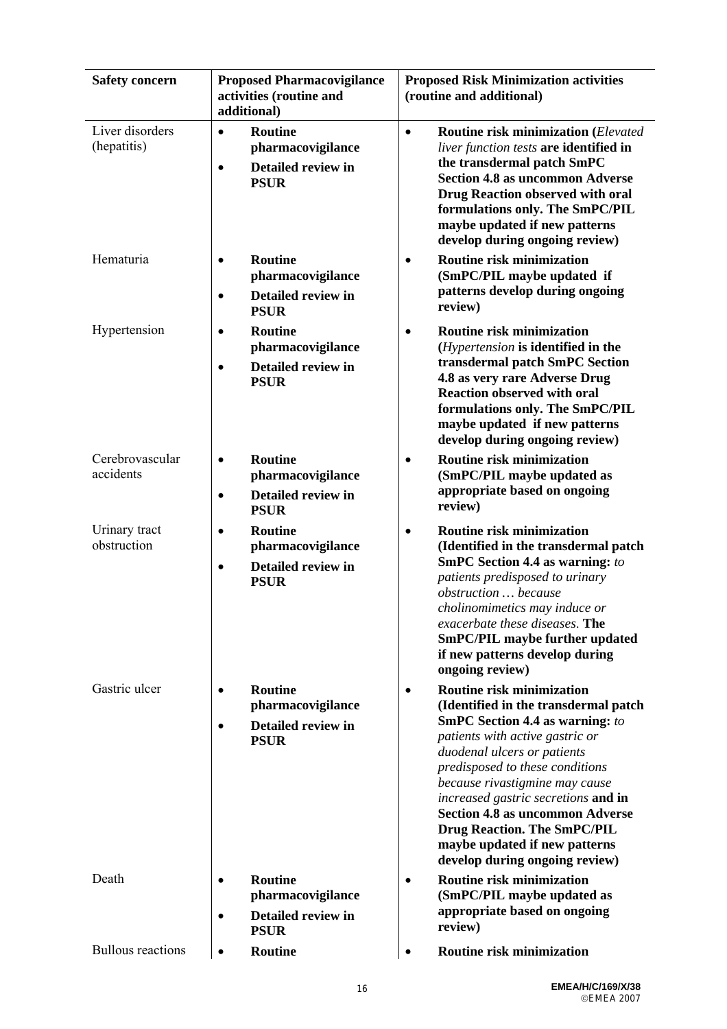| <b>Safety concern</b>          | <b>Proposed Pharmacovigilance</b><br>activities (routine and<br>additional)                        | <b>Proposed Risk Minimization activities</b><br>(routine and additional)                                                                                                                                                                                                                                                                                                                                                                                         |
|--------------------------------|----------------------------------------------------------------------------------------------------|------------------------------------------------------------------------------------------------------------------------------------------------------------------------------------------------------------------------------------------------------------------------------------------------------------------------------------------------------------------------------------------------------------------------------------------------------------------|
| Liver disorders<br>(hepatitis) | <b>Routine</b><br>$\bullet$<br>pharmacovigilance<br>Detailed review in<br>$\bullet$<br><b>PSUR</b> | <b>Routine risk minimization (Elevated</b><br>$\bullet$<br>liver function tests are identified in<br>the transdermal patch SmPC<br><b>Section 4.8 as uncommon Adverse</b><br><b>Drug Reaction observed with oral</b><br>formulations only. The SmPC/PIL<br>maybe updated if new patterns<br>develop during ongoing review)                                                                                                                                       |
| Hematuria                      | <b>Routine</b><br>$\bullet$<br>pharmacovigilance<br>Detailed review in<br>$\bullet$<br><b>PSUR</b> | <b>Routine risk minimization</b><br>$\bullet$<br>(SmPC/PIL maybe updated if<br>patterns develop during ongoing<br>review)                                                                                                                                                                                                                                                                                                                                        |
| Hypertension                   | <b>Routine</b><br>$\bullet$<br>pharmacovigilance<br>Detailed review in<br>$\bullet$<br><b>PSUR</b> | <b>Routine risk minimization</b><br>$\bullet$<br>(Hypertension is identified in the<br>transdermal patch SmPC Section<br>4.8 as very rare Adverse Drug<br><b>Reaction observed with oral</b><br>formulations only. The SmPC/PIL<br>maybe updated if new patterns<br>develop during ongoing review)                                                                                                                                                               |
| Cerebrovascular<br>accidents   | <b>Routine</b><br>$\bullet$<br>pharmacovigilance<br>Detailed review in<br>$\bullet$<br><b>PSUR</b> | <b>Routine risk minimization</b><br>(SmPC/PIL maybe updated as<br>appropriate based on ongoing<br>review)                                                                                                                                                                                                                                                                                                                                                        |
| Urinary tract<br>obstruction   | <b>Routine</b><br>$\bullet$<br>pharmacovigilance<br>Detailed review in<br>$\bullet$<br><b>PSUR</b> | <b>Routine risk minimization</b><br>$\bullet$<br>(Identified in the transdermal patch<br><b>SmPC Section 4.4 as warning:</b> to<br>patients predisposed to urinary<br>obstruction  because<br>cholinomimetics may induce or<br>exacerbate these diseases. The<br><b>SmPC/PIL maybe further updated</b><br>if new patterns develop during<br>ongoing review)                                                                                                      |
| Gastric ulcer                  | <b>Routine</b><br>pharmacovigilance<br>Detailed review in<br><b>PSUR</b>                           | <b>Routine risk minimization</b><br>$\bullet$<br>(Identified in the transdermal patch<br><b>SmPC Section 4.4 as warning:</b> to<br>patients with active gastric or<br>duodenal ulcers or patients<br>predisposed to these conditions<br>because rivastigmine may cause<br>increased gastric secretions and in<br><b>Section 4.8 as uncommon Adverse</b><br><b>Drug Reaction. The SmPC/PIL</b><br>maybe updated if new patterns<br>develop during ongoing review) |
| Death                          | <b>Routine</b><br>٠<br>pharmacovigilance<br>Detailed review in<br><b>PSUR</b>                      | <b>Routine risk minimization</b><br>$\bullet$<br>(SmPC/PIL maybe updated as<br>appropriate based on ongoing<br>review)                                                                                                                                                                                                                                                                                                                                           |
| <b>Bullous</b> reactions       | <b>Routine</b>                                                                                     | <b>Routine risk minimization</b>                                                                                                                                                                                                                                                                                                                                                                                                                                 |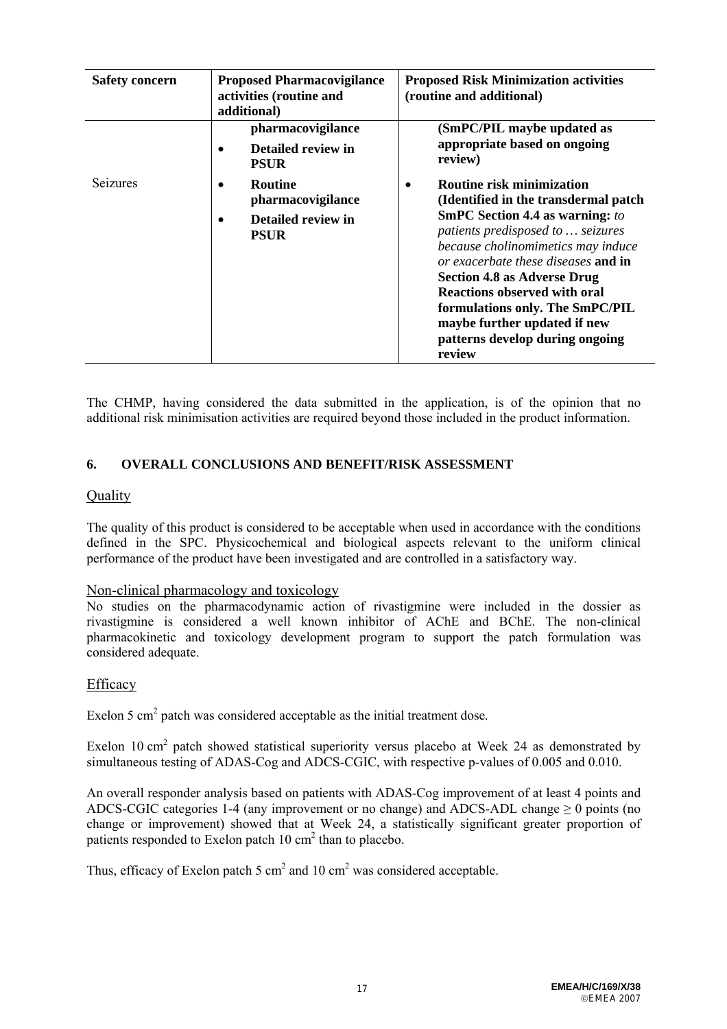| <b>Safety concern</b> | <b>Proposed Pharmacovigilance</b><br>activities (routine and<br>additional)           | <b>Proposed Risk Minimization activities</b><br>(routine and additional)                                                                                                                                                                                                                                                                                                                                                           |
|-----------------------|---------------------------------------------------------------------------------------|------------------------------------------------------------------------------------------------------------------------------------------------------------------------------------------------------------------------------------------------------------------------------------------------------------------------------------------------------------------------------------------------------------------------------------|
|                       | pharmacovigilance<br>Detailed review in<br><b>PSUR</b>                                | (SmPC/PIL maybe updated as<br>appropriate based on ongoing<br>review)                                                                                                                                                                                                                                                                                                                                                              |
| Seizures              | <b>Routine</b><br>$\bullet$<br>pharmacovigilance<br>Detailed review in<br><b>PSUR</b> | <b>Routine risk minimization</b><br>(Identified in the transdermal patch)<br><b>SmPC Section 4.4 as warning:</b> to<br>patients predisposed to  seizures<br>because cholinomimetics may induce<br>or exacerbate these diseases and in<br><b>Section 4.8 as Adverse Drug</b><br><b>Reactions observed with oral</b><br>formulations only. The SmPC/PIL<br>maybe further updated if new<br>patterns develop during ongoing<br>review |

The CHMP, having considered the data submitted in the application, is of the opinion that no additional risk minimisation activities are required beyond those included in the product information.

## **6. OVERALL CONCLUSIONS AND BENEFIT/RISK ASSESSMENT**

## **Quality**

The quality of this product is considered to be acceptable when used in accordance with the conditions defined in the SPC. Physicochemical and biological aspects relevant to the uniform clinical performance of the product have been investigated and are controlled in a satisfactory way.

## Non-clinical pharmacology and toxicology

No studies on the pharmacodynamic action of rivastigmine were included in the dossier as rivastigmine is considered a well known inhibitor of AChE and BChE. The non-clinical pharmacokinetic and toxicology development program to support the patch formulation was considered adequate.

## Efficacy

Exelon 5  $\text{cm}^2$  patch was considered acceptable as the initial treatment dose.

Exelon 10 cm<sup>2</sup> patch showed statistical superiority versus placebo at Week 24 as demonstrated by simultaneous testing of ADAS-Cog and ADCS-CGIC, with respective p-values of 0.005 and 0.010.

An overall responder analysis based on patients with ADAS-Cog improvement of at least 4 points and ADCS-CGIC categories 1-4 (any improvement or no change) and ADCS-ADL change  $\geq 0$  points (no change or improvement) showed that at Week 24, a statistically significant greater proportion of patients responded to Exelon patch  $10 \text{ cm}^2$  than to placebo.

Thus, efficacy of Exelon patch 5  $\text{cm}^2$  and 10  $\text{cm}^2$  was considered acceptable.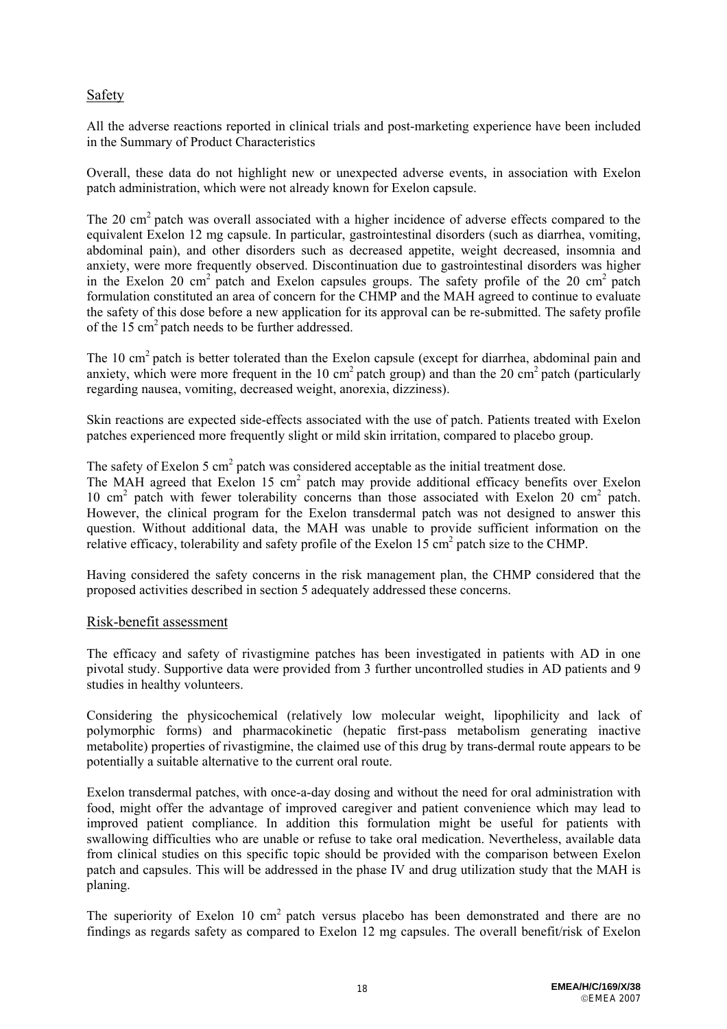# Safety

All the adverse reactions reported in clinical trials and post-marketing experience have been included in the Summary of Product Characteristics

Overall, these data do not highlight new or unexpected adverse events, in association with Exelon patch administration, which were not already known for Exelon capsule.

The 20 cm<sup>2</sup> patch was overall associated with a higher incidence of adverse effects compared to the equivalent Exelon 12 mg capsule. In particular, gastrointestinal disorders (such as diarrhea, vomiting, abdominal pain), and other disorders such as decreased appetite, weight decreased, insomnia and anxiety, were more frequently observed. Discontinuation due to gastrointestinal disorders was higher in the Exelon 20 cm<sup>2</sup> patch and Exelon capsules groups. The safety profile of the 20 cm<sup>2</sup> patch formulation constituted an area of concern for the CHMP and the MAH agreed to continue to evaluate the safety of this dose before a new application for its approval can be re-submitted. The safety profile of the 15 cm2 patch needs to be further addressed.

The 10 cm<sup>2</sup> patch is better tolerated than the Exelon capsule (except for diarrhea, abdominal pain and anxiety, which were more frequent in the 10 cm<sup>2</sup> patch group) and than the 20 cm<sup>2</sup> patch (particularly regarding nausea, vomiting, decreased weight, anorexia, dizziness).

Skin reactions are expected side-effects associated with the use of patch. Patients treated with Exelon patches experienced more frequently slight or mild skin irritation, compared to placebo group.

The safety of Exelon 5  $\text{cm}^2$  patch was considered acceptable as the initial treatment dose.

The MAH agreed that Exelon 15 cm<sup>2</sup> patch may provide additional efficacy benefits over Exelon 10 cm<sup>2</sup> patch with fewer tolerability concerns than those associated with Exelon 20 cm<sup>2</sup> patch. However, the clinical program for the Exelon transdermal patch was not designed to answer this question. Without additional data, the MAH was unable to provide sufficient information on the relative efficacy, tolerability and safety profile of the Exelon  $15 \text{ cm}^2$  patch size to the CHMP.

Having considered the safety concerns in the risk management plan, the CHMP considered that the proposed activities described in section 5 adequately addressed these concerns.

## Risk-benefit assessment

The efficacy and safety of rivastigmine patches has been investigated in patients with AD in one pivotal study. Supportive data were provided from 3 further uncontrolled studies in AD patients and 9 studies in healthy volunteers.

Considering the physicochemical (relatively low molecular weight, lipophilicity and lack of polymorphic forms) and pharmacokinetic (hepatic first-pass metabolism generating inactive metabolite) properties of rivastigmine, the claimed use of this drug by trans-dermal route appears to be potentially a suitable alternative to the current oral route.

Exelon transdermal patches, with once-a-day dosing and without the need for oral administration with food, might offer the advantage of improved caregiver and patient convenience which may lead to improved patient compliance. In addition this formulation might be useful for patients with swallowing difficulties who are unable or refuse to take oral medication. Nevertheless, available data from clinical studies on this specific topic should be provided with the comparison between Exelon patch and capsules. This will be addressed in the phase IV and drug utilization study that the MAH is planing.

The superiority of Exelon 10 cm<sup>2</sup> patch versus placebo has been demonstrated and there are no findings as regards safety as compared to Exelon 12 mg capsules. The overall benefit/risk of Exelon